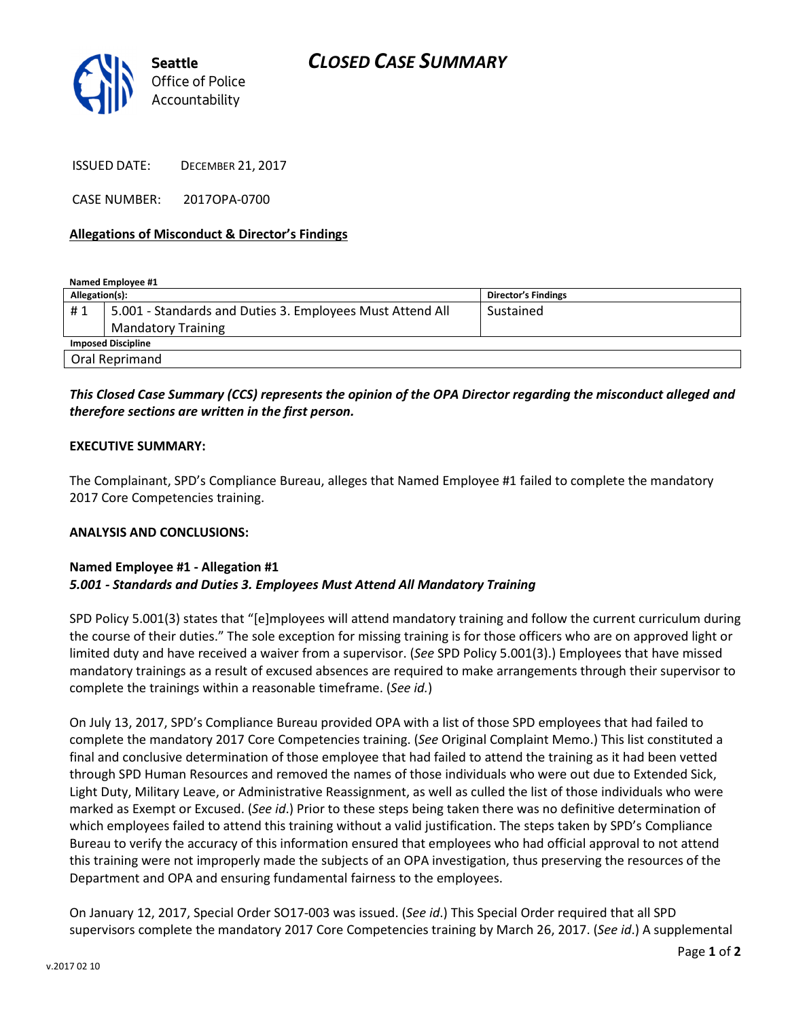

ISSUED DATE: DECEMBER 21, 2017

CASE NUMBER: 2017OPA-0700

## Allegations of Misconduct & Director's Findings

Named Employee #1

| Allegation(s):            |                                                           | <b>Director's Findings</b> |
|---------------------------|-----------------------------------------------------------|----------------------------|
| #1                        | 5.001 - Standards and Duties 3. Employees Must Attend All | Sustained                  |
|                           | <b>Mandatory Training</b>                                 |                            |
| <b>Imposed Discipline</b> |                                                           |                            |
| Oral Reprimand            |                                                           |                            |

# This Closed Case Summary (CCS) represents the opinion of the OPA Director regarding the misconduct alleged and therefore sections are written in the first person.

### EXECUTIVE SUMMARY:

The Complainant, SPD's Compliance Bureau, alleges that Named Employee #1 failed to complete the mandatory 2017 Core Competencies training.

### ANALYSIS AND CONCLUSIONS:

### Named Employee #1 - Allegation #1 5.001 - Standards and Duties 3. Employees Must Attend All Mandatory Training

SPD Policy 5.001(3) states that "[e]mployees will attend mandatory training and follow the current curriculum during the course of their duties." The sole exception for missing training is for those officers who are on approved light or limited duty and have received a waiver from a supervisor. (See SPD Policy 5.001(3).) Employees that have missed mandatory trainings as a result of excused absences are required to make arrangements through their supervisor to complete the trainings within a reasonable timeframe. (See id.)

On July 13, 2017, SPD's Compliance Bureau provided OPA with a list of those SPD employees that had failed to complete the mandatory 2017 Core Competencies training. (See Original Complaint Memo.) This list constituted a final and conclusive determination of those employee that had failed to attend the training as it had been vetted through SPD Human Resources and removed the names of those individuals who were out due to Extended Sick, Light Duty, Military Leave, or Administrative Reassignment, as well as culled the list of those individuals who were marked as Exempt or Excused. (See id.) Prior to these steps being taken there was no definitive determination of which employees failed to attend this training without a valid justification. The steps taken by SPD's Compliance Bureau to verify the accuracy of this information ensured that employees who had official approval to not attend this training were not improperly made the subjects of an OPA investigation, thus preserving the resources of the Department and OPA and ensuring fundamental fairness to the employees.

On January 12, 2017, Special Order SO17-003 was issued. (See id.) This Special Order required that all SPD supervisors complete the mandatory 2017 Core Competencies training by March 26, 2017. (See id.) A supplemental